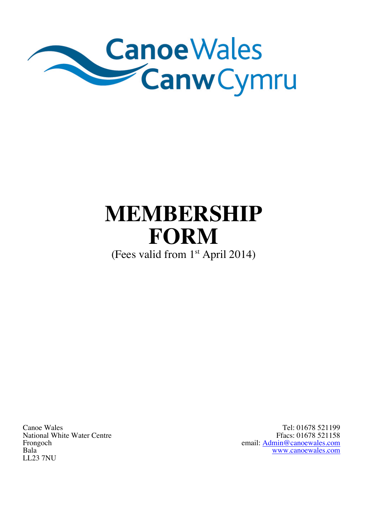

# **MEMBERSHIP FORM**

(Fees valid from 1<sup>st</sup> April 2014)

Canoe Wales National White Water Centre Frongoch Bala LL23 7NU

Tel: 01678 521199 Ffacs: 01678 521158 email: Admin@canoewales.com www.canoewales.com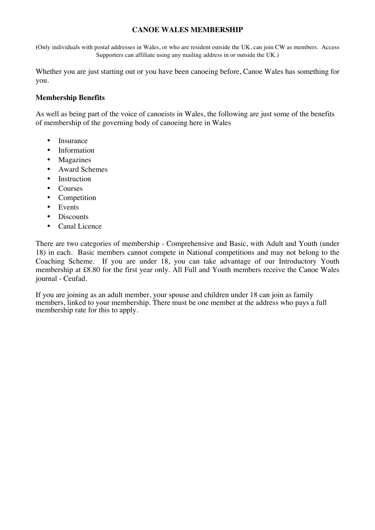## **CANOE WALES MEMBERSHIP**

**(**Only individuals with postal addresses in Wales, or who are resident outside the UK, can join CW as members. Access Supporters can affiliate using any mailing address in or outside the UK.)

Whether you are just starting out or you have been canoeing before, Canoe Wales has something for you.

### **Membership Benefits**

As well as being part of the voice of canoeists in Wales, the following are just some of the benefits of membership of the governing body of canoeing here in Wales

- Insurance
- Information
- Magazines
- Award Schemes
- Instruction
- Courses
- Competition
- Events
- Discounts
- Canal Licence

There are two categories of membership - Comprehensive and Basic, with Adult and Youth (under 18) in each. Basic members cannot compete in National competitions and may not belong to the Coaching Scheme. If you are under 18, you can take advantage of our Introductory Youth membership at £8.80 for the first year only. All Full and Youth members receive the Canoe Wales journal - Ceufad.

If you are joining as an adult member, your spouse and children under 18 can join as family members, linked to your membership. There must be one member at the address who pays a full membership rate for this to apply.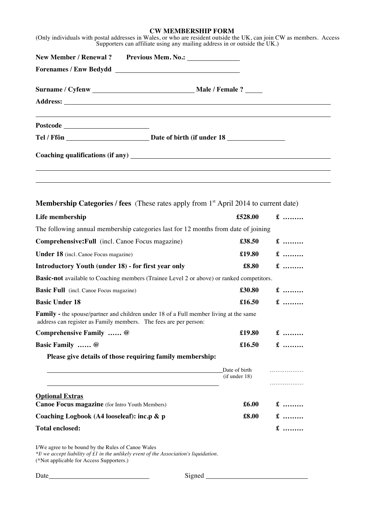#### **CW MEMBERSHIP FORM**

|                                                                          | <b>Membership Categories / fees</b> (These rates apply from $1st$ April 2014 to current date)                                                             |                                |           |  |
|--------------------------------------------------------------------------|-----------------------------------------------------------------------------------------------------------------------------------------------------------|--------------------------------|-----------|--|
| Life membership                                                          |                                                                                                                                                           | £528.00                        | $\pounds$ |  |
|                                                                          | The following annual membership categories last for 12 months from date of joining                                                                        |                                |           |  |
| Comprehensive: Full (incl. Canoe Focus magazine)                         |                                                                                                                                                           | £38.50                         | $\pounds$ |  |
| <b>Under 18</b> (incl. Canoe Focus magazine)                             |                                                                                                                                                           | £19.80                         | $\pounds$ |  |
| <b>Introductory Youth (under 18) - for first year only</b>               |                                                                                                                                                           | £8.80                          | $\pounds$ |  |
|                                                                          |                                                                                                                                                           |                                |           |  |
|                                                                          | <b>Basic-not</b> available to Coaching members (Trainee Level 2 or above) or ranked competitors.                                                          |                                |           |  |
| <b>Basic Full</b> (incl. Canoe Focus magazine)                           |                                                                                                                                                           | £30.80                         | $\pounds$ |  |
| <b>Basic Under 18</b>                                                    |                                                                                                                                                           | £16.50                         | $\pounds$ |  |
|                                                                          | Family - the spouse/partner and children under 18 of a Full member living at the same<br>address can register as Family members. The fees are per person: |                                |           |  |
| Comprehensive Family  @                                                  |                                                                                                                                                           | £19.80                         | $\pounds$ |  |
| Basic Family  @                                                          |                                                                                                                                                           | £16.50                         | $f$       |  |
|                                                                          | Please give details of those requiring family membership:                                                                                                 |                                |           |  |
|                                                                          |                                                                                                                                                           | Date of birth<br>(if under 18) | .         |  |
|                                                                          |                                                                                                                                                           |                                | .         |  |
| <b>Optional Extras</b><br>Canoe Focus magazine (for Intro Youth Members) |                                                                                                                                                           | £6.00                          | $\pounds$ |  |
| Coaching Logbook (A4 looseleaf): inc.p & p                               |                                                                                                                                                           | £8.00                          | $\pounds$ |  |

*\*I/ we accept liability of £1 in the unlikely event of the Association's liquidation.*  (\*Not applicable for Access Supporters.)